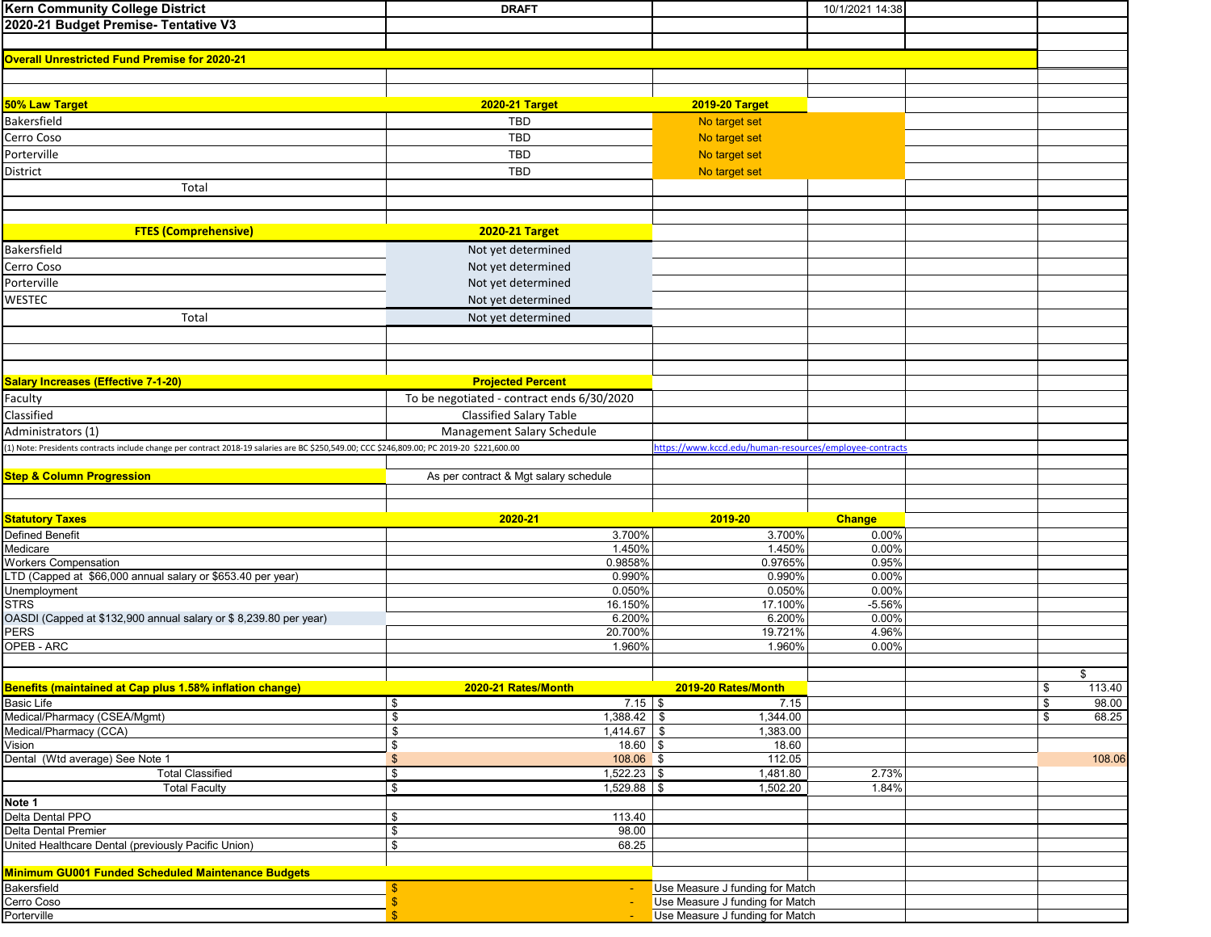| <b>Kern Community College District</b>                                                                                                     | <b>DRAFT</b>                               |                                                                    | 10/1/2021 14:38 |    |        |
|--------------------------------------------------------------------------------------------------------------------------------------------|--------------------------------------------|--------------------------------------------------------------------|-----------------|----|--------|
| 2020-21 Budget Premise- Tentative V3                                                                                                       |                                            |                                                                    |                 |    |        |
|                                                                                                                                            |                                            |                                                                    |                 |    |        |
| <b>Overall Unrestricted Fund Premise for 2020-21</b>                                                                                       |                                            |                                                                    |                 |    |        |
|                                                                                                                                            |                                            |                                                                    |                 |    |        |
|                                                                                                                                            |                                            |                                                                    |                 |    |        |
| 50% Law Target                                                                                                                             | <b>2020-21 Target</b>                      | <b>2019-20 Target</b>                                              |                 |    |        |
| Bakersfield                                                                                                                                | <b>TBD</b>                                 | No target set                                                      |                 |    |        |
| Cerro Coso                                                                                                                                 | <b>TBD</b>                                 | No target set                                                      |                 |    |        |
| Porterville                                                                                                                                | <b>TBD</b>                                 | No target set                                                      |                 |    |        |
| District                                                                                                                                   | <b>TBD</b>                                 | No target set                                                      |                 |    |        |
| Total                                                                                                                                      |                                            |                                                                    |                 |    |        |
|                                                                                                                                            |                                            |                                                                    |                 |    |        |
|                                                                                                                                            |                                            |                                                                    |                 |    |        |
| <b>FTES (Comprehensive)</b>                                                                                                                | <b>2020-21 Target</b>                      |                                                                    |                 |    |        |
| Bakersfield                                                                                                                                |                                            |                                                                    |                 |    |        |
|                                                                                                                                            | Not yet determined                         |                                                                    |                 |    |        |
| Cerro Coso                                                                                                                                 | Not yet determined                         |                                                                    |                 |    |        |
| Porterville                                                                                                                                | Not yet determined                         |                                                                    |                 |    |        |
| WESTEC                                                                                                                                     | Not yet determined                         |                                                                    |                 |    |        |
| Total                                                                                                                                      | Not yet determined                         |                                                                    |                 |    |        |
|                                                                                                                                            |                                            |                                                                    |                 |    |        |
|                                                                                                                                            |                                            |                                                                    |                 |    |        |
|                                                                                                                                            |                                            |                                                                    |                 |    |        |
| <b>Salary Increases (Effective 7-1-20)</b>                                                                                                 | <b>Projected Percent</b>                   |                                                                    |                 |    |        |
| Faculty                                                                                                                                    | To be negotiated - contract ends 6/30/2020 |                                                                    |                 |    |        |
| Classified                                                                                                                                 | <b>Classified Salary Table</b>             |                                                                    |                 |    |        |
| Administrators (1)                                                                                                                         | Management Salary Schedule                 |                                                                    |                 |    |        |
| (1) Note: Presidents contracts include change per contract 2018-19 salaries are BC \$250,549.00; CCC \$246,809.00; PC 2019-20 \$221,600.00 |                                            | https://www.kccd.edu/human-resources/employee-contracts            |                 |    |        |
|                                                                                                                                            |                                            |                                                                    |                 |    |        |
| <b>Step &amp; Column Progression</b>                                                                                                       | As per contract & Mgt salary schedule      |                                                                    |                 |    |        |
|                                                                                                                                            |                                            |                                                                    |                 |    |        |
|                                                                                                                                            |                                            |                                                                    |                 |    |        |
| <b>Statutory Taxes</b>                                                                                                                     | 2020-21                                    | 2019-20                                                            | <b>Change</b>   |    |        |
| <b>Defined Benefit</b>                                                                                                                     | 3.700%                                     | 3.700%                                                             | 0.00%           |    |        |
| Medicare                                                                                                                                   | 1.450%                                     | 1.450%                                                             | 0.00%           |    |        |
| <b>Workers Compensation</b>                                                                                                                | 0.9858%                                    | 0.9765%                                                            | 0.95%           |    |        |
| LTD (Capped at \$66,000 annual salary or \$653.40 per year)                                                                                | 0.990%                                     | 0.990%                                                             | 0.00%           |    |        |
| Unemployment                                                                                                                               | 0.050%                                     | 0.050%                                                             | 0.00%           |    |        |
| <b>STRS</b>                                                                                                                                | 16.150%                                    | 17.100%                                                            | $-5.56%$        |    |        |
| OASDI (Capped at \$132,900 annual salary or \$8,239.80 per year)                                                                           | 6.200%                                     | 6.200%                                                             | 0.00%           |    |        |
| <b>PERS</b>                                                                                                                                | 20.700%                                    | 19.721%                                                            | 4.96%           |    |        |
| OPEB - ARC                                                                                                                                 | 1.960%                                     | 1.960%                                                             | 0.00%           |    |        |
|                                                                                                                                            |                                            |                                                                    |                 | \$ |        |
| Benefits (maintained at Cap plus 1.58% inflation change)                                                                                   | 2020-21 Rates/Month                        | 2019-20 Rates/Month                                                |                 | \$ | 113.40 |
| <b>Basic Life</b>                                                                                                                          | $7.15$ \$<br>\$                            | 7.15                                                               |                 | \$ | 98.00  |
| Medical/Pharmacy (CSEA/Mgmt)                                                                                                               | \$<br>$1,388.42$ \$                        | 1,344.00                                                           |                 | \$ | 68.25  |
| Medical/Pharmacy (CCA)                                                                                                                     | $\mathfrak s$<br>$1,414.67$ \$             | 1,383.00                                                           |                 |    |        |
| Vision                                                                                                                                     | \$<br>$18.60$ \$                           | 18.60                                                              |                 |    |        |
| Dental (Wtd average) See Note 1                                                                                                            | $\mathfrak{S}$<br>$108.06$ \$              | 112.05                                                             |                 |    | 108.06 |
| <b>Total Classified</b>                                                                                                                    | $1,522.23$ \$<br>\$                        | 1,481.80                                                           | 2.73%           |    |        |
| <b>Total Faculty</b>                                                                                                                       | $1,529.88$ \$<br>\$                        | 1,502.20                                                           | 1.84%           |    |        |
| Note 1                                                                                                                                     |                                            |                                                                    |                 |    |        |
| Delta Dental PPO                                                                                                                           | 113.40<br>\$                               |                                                                    |                 |    |        |
| Delta Dental Premier                                                                                                                       | \$<br>98.00                                |                                                                    |                 |    |        |
| United Healthcare Dental (previously Pacific Union)                                                                                        | 68.25<br>\$                                |                                                                    |                 |    |        |
|                                                                                                                                            |                                            |                                                                    |                 |    |        |
| Minimum GU001 Funded Scheduled Maintenance Budgets                                                                                         |                                            |                                                                    |                 |    |        |
|                                                                                                                                            |                                            |                                                                    |                 |    |        |
| Bakersfield                                                                                                                                | \$                                         | Use Measure J funding for Match                                    |                 |    |        |
| Cerro Coso<br>Porterville                                                                                                                  | $\boldsymbol{\$}$<br>$\mathbf{\hat{s}}$    | Use Measure J funding for Match<br>Use Measure J funding for Match |                 |    |        |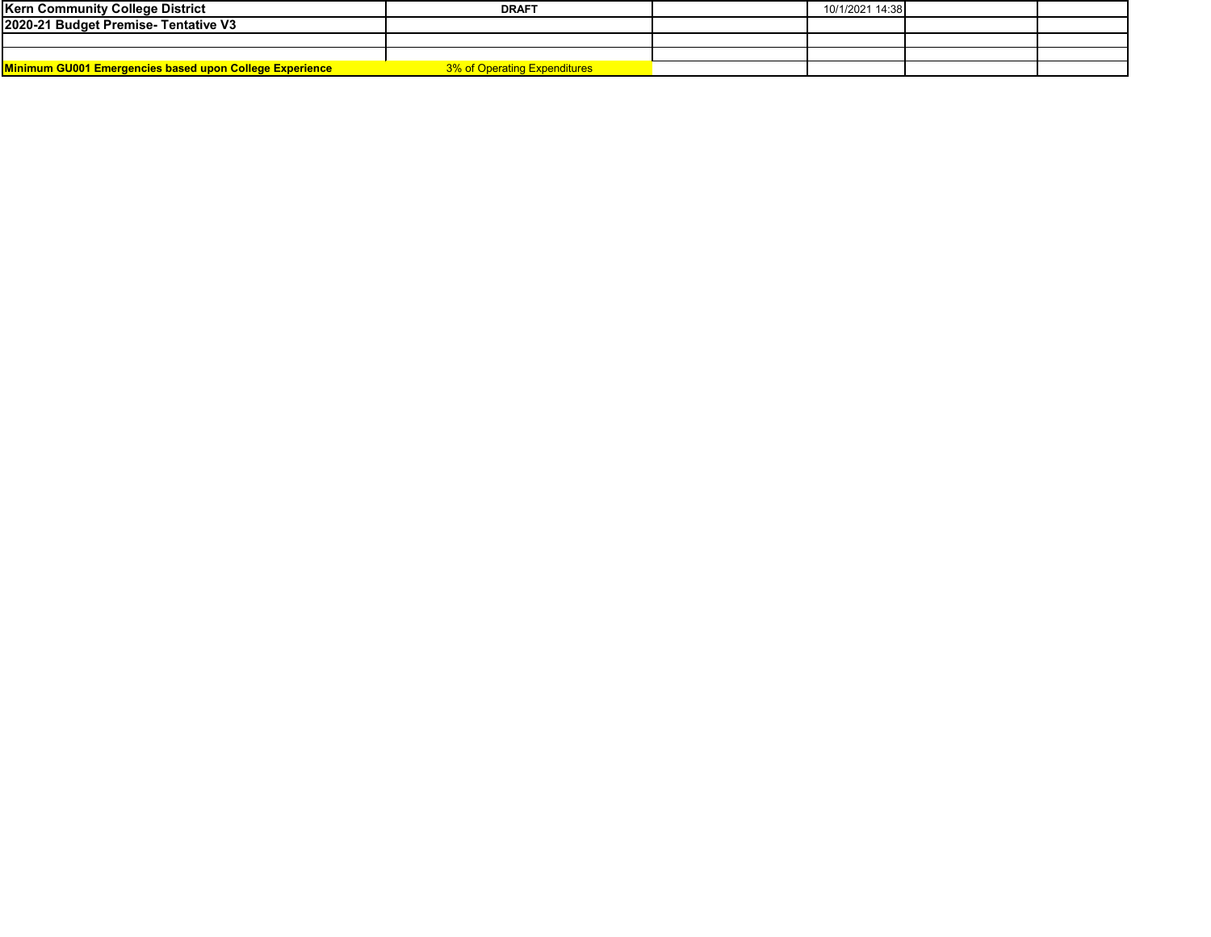| <b>Kern Community College District</b>                  | <b>DRAFT</b>                        | 10/1/2021 14:38 |  |
|---------------------------------------------------------|-------------------------------------|-----------------|--|
| 2020-21 Budget Premise- Tentative V3                    |                                     |                 |  |
|                                                         |                                     |                 |  |
|                                                         |                                     |                 |  |
| Minimum GU001 Emergencies based upon College Experience | <b>3% of Operating Expenditures</b> |                 |  |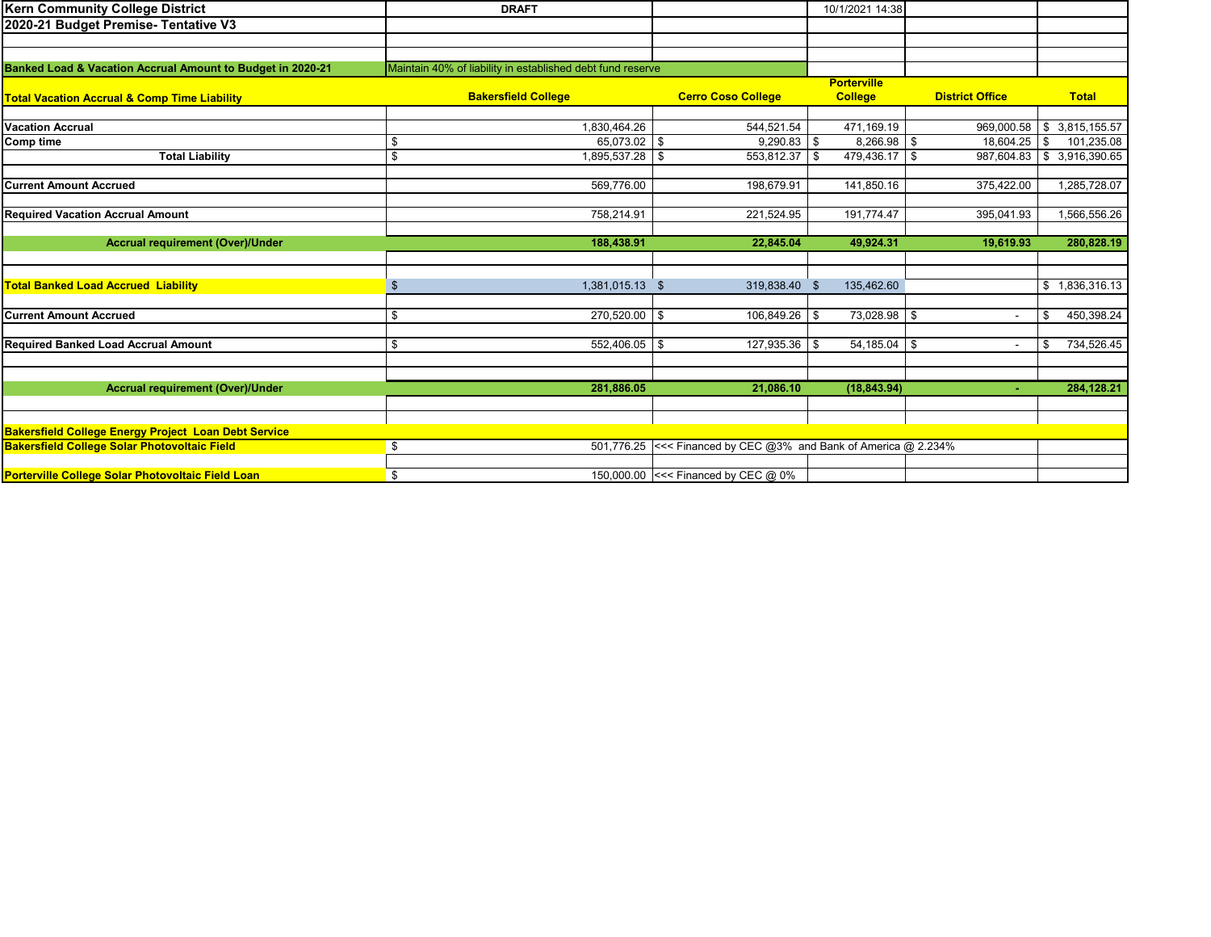| <b>Kern Community College District</b>                      | <b>DRAFT</b>                                               |                                                                 | 10/1/2021 14:38      |                          |                            |
|-------------------------------------------------------------|------------------------------------------------------------|-----------------------------------------------------------------|----------------------|--------------------------|----------------------------|
| 2020-21 Budget Premise- Tentative V3                        |                                                            |                                                                 |                      |                          |                            |
|                                                             |                                                            |                                                                 |                      |                          |                            |
|                                                             |                                                            |                                                                 |                      |                          |                            |
| Banked Load & Vacation Accrual Amount to Budget in 2020-21  | Maintain 40% of liability in established debt fund reserve |                                                                 |                      |                          |                            |
|                                                             |                                                            |                                                                 | <b>Porterville</b>   |                          |                            |
| <b>Total Vacation Accrual &amp; Comp Time Liability</b>     | <b>Bakersfield College</b>                                 | <b>Cerro Coso College</b>                                       | <b>College</b>       | <b>District Office</b>   | <b>Total</b>               |
|                                                             |                                                            |                                                                 |                      |                          |                            |
| <b>Vacation Accrual</b>                                     | 1,830,464.26                                               | 544,521.54                                                      | 471,169.19           | 969.000.58               | \$3,815,155.57             |
| Comp time                                                   | $\overline{65,073.02}$ \$<br>\$                            | $9,290.83$ \$                                                   | 8,266.98 \$          | 18,604.25                | \$<br>101,235.08           |
| <b>Total Liability</b>                                      | \$<br>$1,895,537.28$ \$                                    | 553,812.37 \$                                                   | 479,436.17 \$        |                          | 987,604.83 \$ 3,916,390.65 |
|                                                             |                                                            |                                                                 |                      |                          |                            |
| <b>Current Amount Accrued</b>                               | 569,776.00                                                 | 198,679.91                                                      | 141,850.16           | 375,422.00               | 1,285,728.07               |
|                                                             | 758.214.91                                                 |                                                                 |                      |                          |                            |
| <b>Required Vacation Accrual Amount</b>                     |                                                            | 221,524.95                                                      | 191,774.47           | 395,041.93               | 1,566,556.26               |
| <b>Accrual requirement (Over)/Under</b>                     | 188,438.91                                                 | 22,845.04                                                       | 49,924.31            | 19,619.93                | 280,828.19                 |
|                                                             |                                                            |                                                                 |                      |                          |                            |
|                                                             |                                                            |                                                                 |                      |                          |                            |
| <b>Total Banked Load Accrued Liability</b>                  | 1,381,015.13 \$<br>\$                                      | 319,838.40 \$                                                   | 135,462.60           |                          | \$1,836,316.13             |
|                                                             |                                                            |                                                                 |                      |                          |                            |
| <b>Current Amount Accrued</b>                               | \$<br>270,520.00 \$                                        | 106,849.26                                                      | 73,028.98 \$<br>\$   | $\overline{\phantom{a}}$ | 450,398.24<br>\$           |
|                                                             |                                                            |                                                                 |                      |                          |                            |
| <b>Required Banked Load Accrual Amount</b>                  | \$<br>552,406.05 \$                                        | 127,935.36                                                      | $54,185.04$ \$<br>\$ | $\overline{\phantom{a}}$ | 734,526.45<br>\$           |
|                                                             |                                                            |                                                                 |                      |                          |                            |
|                                                             |                                                            |                                                                 |                      |                          |                            |
| <b>Accrual requirement (Over)/Under</b>                     | 281,886.05                                                 | 21,086.10                                                       | (18, 843.94)         | $\sim$                   | 284,128.21                 |
|                                                             |                                                            |                                                                 |                      |                          |                            |
|                                                             |                                                            |                                                                 |                      |                          |                            |
| <b>Bakersfield College Energy Project Loan Debt Service</b> |                                                            |                                                                 |                      |                          |                            |
| <b>Bakersfield College Solar Photovoltaic Field</b>         | \$                                                         | 501,776.25 <<< Financed by CEC @3% and Bank of America @ 2.234% |                      |                          |                            |
|                                                             |                                                            |                                                                 |                      |                          |                            |
| Porterville College Solar Photovoltaic Field Loan           | \$                                                         | 150,000.00 <<< Financed by CEC @ 0%                             |                      |                          |                            |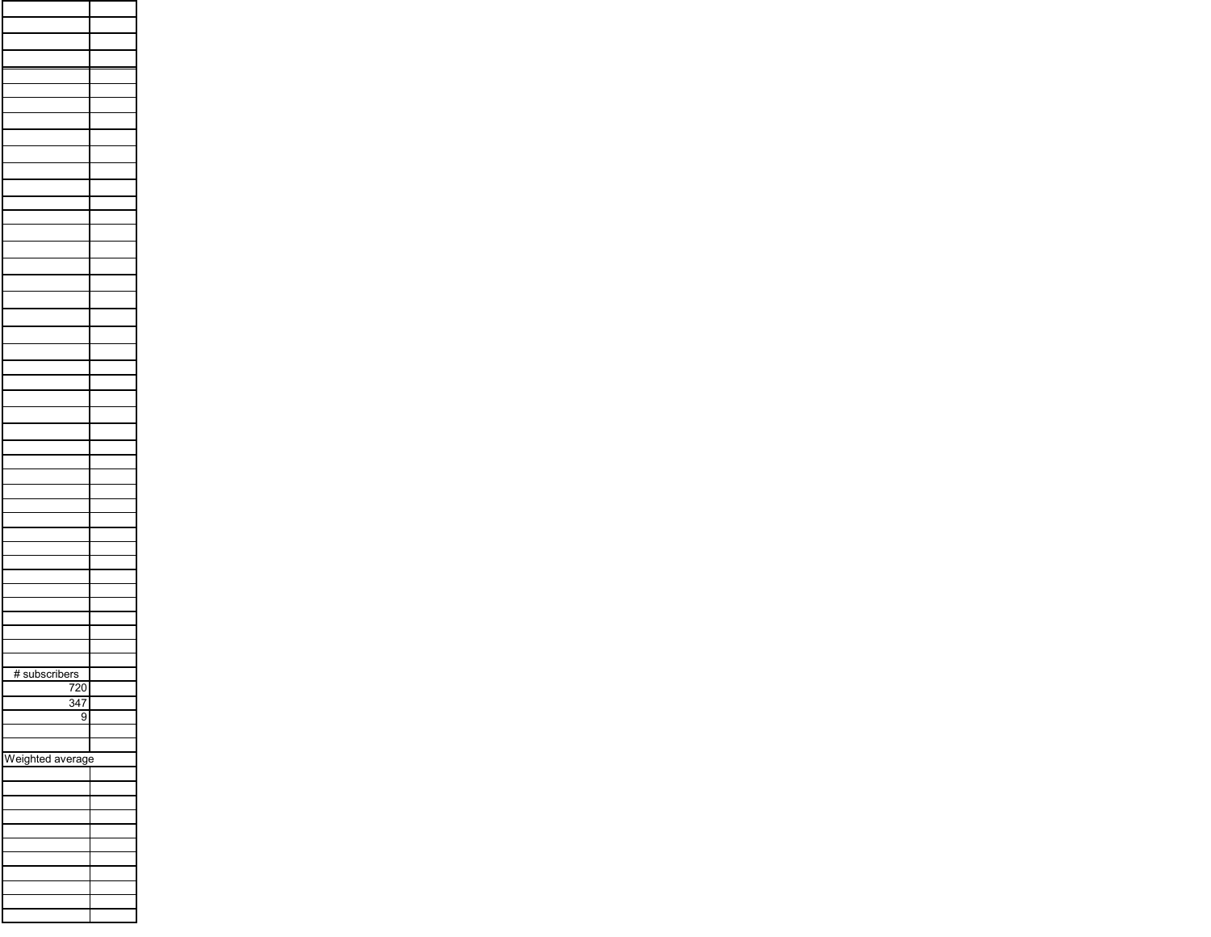| # subscribers    |  |
|------------------|--|
| $\overline{720}$ |  |
| $\frac{347}{5}$  |  |
| $\overline{9}$   |  |
|                  |  |
| Weighted average |  |
|                  |  |
|                  |  |
|                  |  |
|                  |  |
|                  |  |
|                  |  |
|                  |  |
|                  |  |
|                  |  |